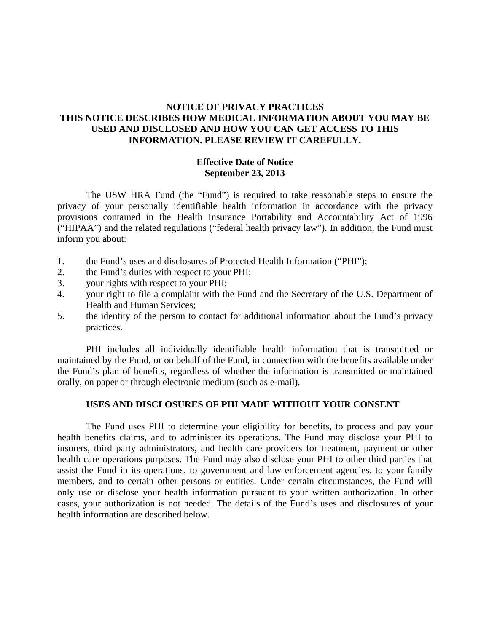# **NOTICE OF PRIVACY PRACTICES THIS NOTICE DESCRIBES HOW MEDICAL INFORMATION ABOUT YOU MAY BE USED AND DISCLOSED AND HOW YOU CAN GET ACCESS TO THIS INFORMATION. PLEASE REVIEW IT CAREFULLY.**

# **Effective Date of Notice September 23, 2013**

The USW HRA Fund (the "Fund") is required to take reasonable steps to ensure the privacy of your personally identifiable health information in accordance with the privacy provisions contained in the Health Insurance Portability and Accountability Act of 1996 ("HIPAA") and the related regulations ("federal health privacy law"). In addition, the Fund must inform you about:

- 1. the Fund's uses and disclosures of Protected Health Information ("PHI");
- 2. the Fund's duties with respect to your PHI;
- 3. your rights with respect to your PHI;
- 4. your right to file a complaint with the Fund and the Secretary of the U.S. Department of Health and Human Services;
- 5. the identity of the person to contact for additional information about the Fund's privacy practices.

PHI includes all individually identifiable health information that is transmitted or maintained by the Fund, or on behalf of the Fund, in connection with the benefits available under the Fund's plan of benefits, regardless of whether the information is transmitted or maintained orally, on paper or through electronic medium (such as e-mail).

## **USES AND DISCLOSURES OF PHI MADE WITHOUT YOUR CONSENT**

The Fund uses PHI to determine your eligibility for benefits, to process and pay your health benefits claims, and to administer its operations. The Fund may disclose your PHI to insurers, third party administrators, and health care providers for treatment, payment or other health care operations purposes. The Fund may also disclose your PHI to other third parties that assist the Fund in its operations, to government and law enforcement agencies, to your family members, and to certain other persons or entities. Under certain circumstances, the Fund will only use or disclose your health information pursuant to your written authorization. In other cases, your authorization is not needed. The details of the Fund's uses and disclosures of your health information are described below.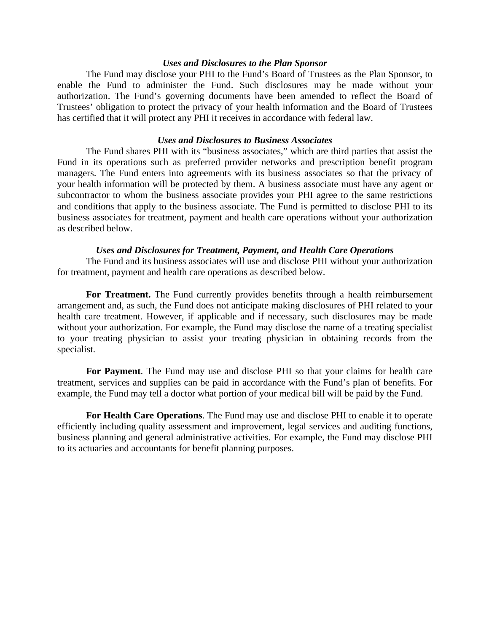#### *Uses and Disclosures to the Plan Sponsor*

The Fund may disclose your PHI to the Fund's Board of Trustees as the Plan Sponsor, to enable the Fund to administer the Fund. Such disclosures may be made without your authorization. The Fund's governing documents have been amended to reflect the Board of Trustees' obligation to protect the privacy of your health information and the Board of Trustees has certified that it will protect any PHI it receives in accordance with federal law.

### *Uses and Disclosures to Business Associates*

The Fund shares PHI with its "business associates," which are third parties that assist the Fund in its operations such as preferred provider networks and prescription benefit program managers. The Fund enters into agreements with its business associates so that the privacy of your health information will be protected by them. A business associate must have any agent or subcontractor to whom the business associate provides your PHI agree to the same restrictions and conditions that apply to the business associate. The Fund is permitted to disclose PHI to its business associates for treatment, payment and health care operations without your authorization as described below.

#### *Uses and Disclosures for Treatment, Payment, and Health Care Operations*

The Fund and its business associates will use and disclose PHI without your authorization for treatment, payment and health care operations as described below.

**For Treatment.** The Fund currently provides benefits through a health reimbursement arrangement and, as such, the Fund does not anticipate making disclosures of PHI related to your health care treatment. However, if applicable and if necessary, such disclosures may be made without your authorization. For example, the Fund may disclose the name of a treating specialist to your treating physician to assist your treating physician in obtaining records from the specialist.

**For Payment**. The Fund may use and disclose PHI so that your claims for health care treatment, services and supplies can be paid in accordance with the Fund's plan of benefits. For example, the Fund may tell a doctor what portion of your medical bill will be paid by the Fund.

**For Health Care Operations**. The Fund may use and disclose PHI to enable it to operate efficiently including quality assessment and improvement, legal services and auditing functions, business planning and general administrative activities. For example, the Fund may disclose PHI to its actuaries and accountants for benefit planning purposes.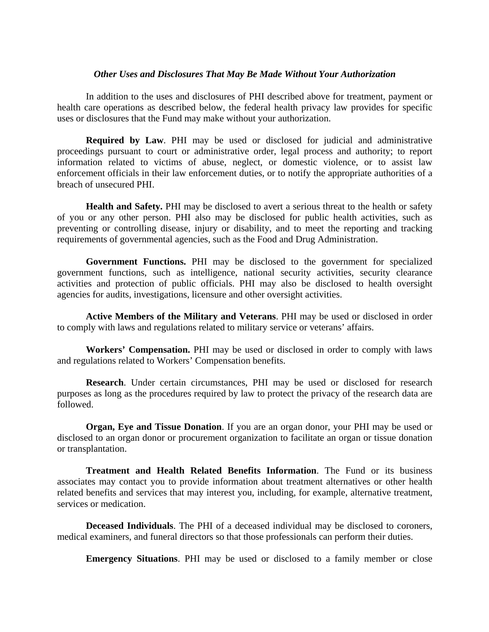#### *Other Uses and Disclosures That May Be Made Without Your Authorization*

In addition to the uses and disclosures of PHI described above for treatment, payment or health care operations as described below, the federal health privacy law provides for specific uses or disclosures that the Fund may make without your authorization.

**Required by Law**. PHI may be used or disclosed for judicial and administrative proceedings pursuant to court or administrative order, legal process and authority; to report information related to victims of abuse, neglect, or domestic violence, or to assist law enforcement officials in their law enforcement duties, or to notify the appropriate authorities of a breach of unsecured PHI.

**Health and Safety.** PHI may be disclosed to avert a serious threat to the health or safety of you or any other person. PHI also may be disclosed for public health activities, such as preventing or controlling disease, injury or disability, and to meet the reporting and tracking requirements of governmental agencies, such as the Food and Drug Administration.

**Government Functions.** PHI may be disclosed to the government for specialized government functions, such as intelligence, national security activities, security clearance activities and protection of public officials. PHI may also be disclosed to health oversight agencies for audits, investigations, licensure and other oversight activities.

**Active Members of the Military and Veterans**. PHI may be used or disclosed in order to comply with laws and regulations related to military service or veterans' affairs.

**Workers' Compensation.** PHI may be used or disclosed in order to comply with laws and regulations related to Workers' Compensation benefits.

**Research**. Under certain circumstances, PHI may be used or disclosed for research purposes as long as the procedures required by law to protect the privacy of the research data are followed.

**Organ, Eye and Tissue Donation**. If you are an organ donor, your PHI may be used or disclosed to an organ donor or procurement organization to facilitate an organ or tissue donation or transplantation.

**Treatment and Health Related Benefits Information**. The Fund or its business associates may contact you to provide information about treatment alternatives or other health related benefits and services that may interest you, including, for example, alternative treatment, services or medication.

**Deceased Individuals**. The PHI of a deceased individual may be disclosed to coroners, medical examiners, and funeral directors so that those professionals can perform their duties.

**Emergency Situations**. PHI may be used or disclosed to a family member or close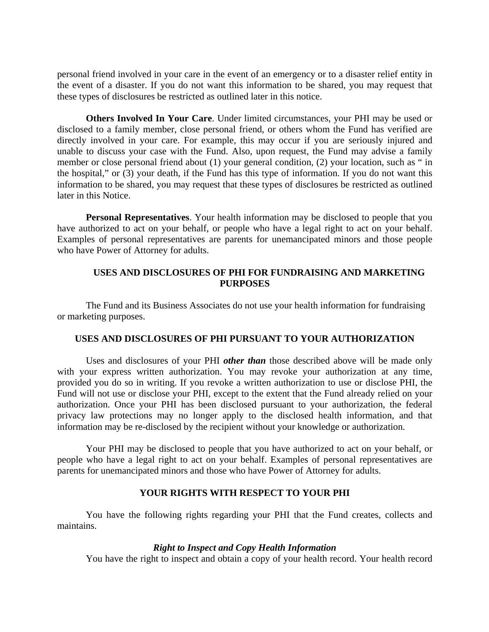personal friend involved in your care in the event of an emergency or to a disaster relief entity in the event of a disaster. If you do not want this information to be shared, you may request that these types of disclosures be restricted as outlined later in this notice.

**Others Involved In Your Care**. Under limited circumstances, your PHI may be used or disclosed to a family member, close personal friend, or others whom the Fund has verified are directly involved in your care. For example, this may occur if you are seriously injured and unable to discuss your case with the Fund. Also, upon request, the Fund may advise a family member or close personal friend about (1) your general condition, (2) your location, such as " in the hospital," or (3) your death, if the Fund has this type of information. If you do not want this information to be shared, you may request that these types of disclosures be restricted as outlined later in this Notice.

**Personal Representatives**. Your health information may be disclosed to people that you have authorized to act on your behalf, or people who have a legal right to act on your behalf. Examples of personal representatives are parents for unemancipated minors and those people who have Power of Attorney for adults.

# **USES AND DISCLOSURES OF PHI FOR FUNDRAISING AND MARKETING PURPOSES**

The Fund and its Business Associates do not use your health information for fundraising or marketing purposes.

## **USES AND DISCLOSURES OF PHI PURSUANT TO YOUR AUTHORIZATION**

Uses and disclosures of your PHI *other than* those described above will be made only with your express written authorization. You may revoke your authorization at any time, provided you do so in writing. If you revoke a written authorization to use or disclose PHI, the Fund will not use or disclose your PHI, except to the extent that the Fund already relied on your authorization. Once your PHI has been disclosed pursuant to your authorization, the federal privacy law protections may no longer apply to the disclosed health information, and that information may be re-disclosed by the recipient without your knowledge or authorization.

Your PHI may be disclosed to people that you have authorized to act on your behalf, or people who have a legal right to act on your behalf. Examples of personal representatives are parents for unemancipated minors and those who have Power of Attorney for adults.

## **YOUR RIGHTS WITH RESPECT TO YOUR PHI**

You have the following rights regarding your PHI that the Fund creates, collects and maintains.

### *Right to Inspect and Copy Health Information*

You have the right to inspect and obtain a copy of your health record. Your health record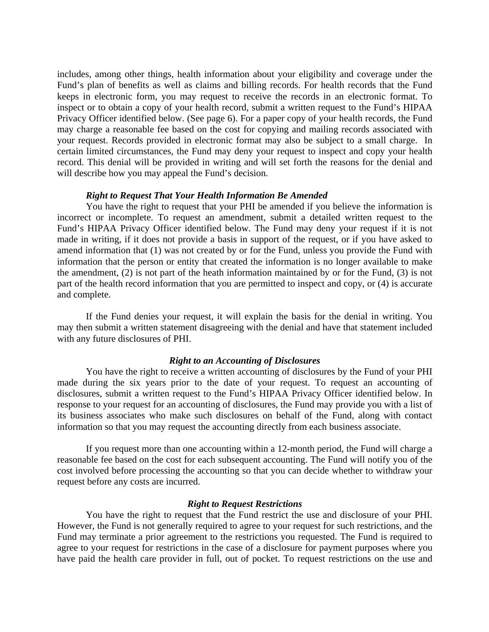includes, among other things, health information about your eligibility and coverage under the Fund's plan of benefits as well as claims and billing records. For health records that the Fund keeps in electronic form, you may request to receive the records in an electronic format. To inspect or to obtain a copy of your health record, submit a written request to the Fund's HIPAA Privacy Officer identified below. (See page 6). For a paper copy of your health records, the Fund may charge a reasonable fee based on the cost for copying and mailing records associated with your request. Records provided in electronic format may also be subject to a small charge. In certain limited circumstances, the Fund may deny your request to inspect and copy your health record. This denial will be provided in writing and will set forth the reasons for the denial and will describe how you may appeal the Fund's decision.

### *Right to Request That Your Health Information Be Amended*

You have the right to request that your PHI be amended if you believe the information is incorrect or incomplete. To request an amendment, submit a detailed written request to the Fund's HIPAA Privacy Officer identified below. The Fund may deny your request if it is not made in writing, if it does not provide a basis in support of the request, or if you have asked to amend information that (1) was not created by or for the Fund, unless you provide the Fund with information that the person or entity that created the information is no longer available to make the amendment, (2) is not part of the heath information maintained by or for the Fund, (3) is not part of the health record information that you are permitted to inspect and copy, or (4) is accurate and complete.

If the Fund denies your request, it will explain the basis for the denial in writing. You may then submit a written statement disagreeing with the denial and have that statement included with any future disclosures of PHI.

### *Right to an Accounting of Disclosures*

You have the right to receive a written accounting of disclosures by the Fund of your PHI made during the six years prior to the date of your request. To request an accounting of disclosures, submit a written request to the Fund's HIPAA Privacy Officer identified below. In response to your request for an accounting of disclosures, the Fund may provide you with a list of its business associates who make such disclosures on behalf of the Fund, along with contact information so that you may request the accounting directly from each business associate.

If you request more than one accounting within a 12-month period, the Fund will charge a reasonable fee based on the cost for each subsequent accounting. The Fund will notify you of the cost involved before processing the accounting so that you can decide whether to withdraw your request before any costs are incurred.

### *Right to Request Restrictions*

You have the right to request that the Fund restrict the use and disclosure of your PHI. However, the Fund is not generally required to agree to your request for such restrictions, and the Fund may terminate a prior agreement to the restrictions you requested. The Fund is required to agree to your request for restrictions in the case of a disclosure for payment purposes where you have paid the health care provider in full, out of pocket. To request restrictions on the use and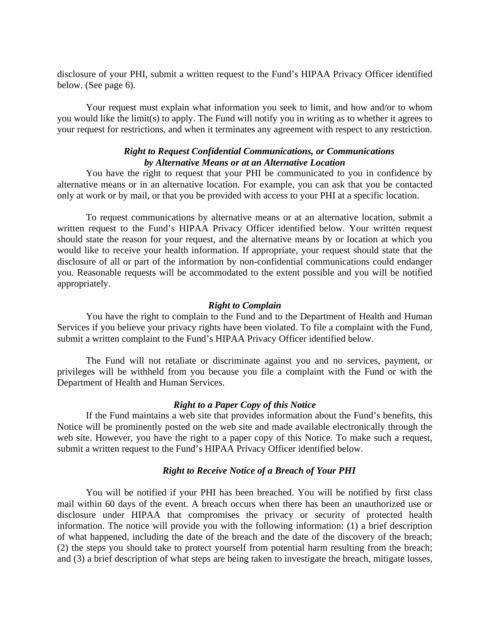disclosure of your PHI, submit a written request to the Fund's HIPAA Privacy Officer identified below. (See page 6).

Your request must explain what information you seek to limit, and how and/or to whom you would like the limit(s) to apply. The Fund will notify you in writing as to whether it agrees to your request for restrictions, and when it terminates any agreement with respect to any restriction.

## *Right to Request Confidential Communications, or Communications by Alternative Means or at an Alternative Location*

You have the right to request that your PHI be communicated to you in confidence by alternative means or in an alternative location. For example, you can ask that you be contacted only at work or by mail, or that you be provided with access to your PHI at a specific location.

To request communications by alternative means or at an alternative location, submit a written request to the Fund's HIPAA Privacy Officer identified below. Your written request should state the reason for your request, and the alternative means by or location at which you would like to receive your health information. If appropriate, your request should state that the disclosure of all or part of the information by non-confidential communications could endanger you. Reasonable requests will be accommodated to the extent possible and you will be notified appropriately.

### *Right to Complain*

You have the right to complain to the Fund and to the Department of Health and Human Services if you believe your privacy rights have been violated. To file a complaint with the Fund, submit a written complaint to the Fund's HIPAA Privacy Officer identified below.

The Fund will not retaliate or discriminate against you and no services, payment, or privileges will be withheld from you because you file a complaint with the Fund or with the Department of Health and Human Services.

## *Right to a Paper Copy of this Notice*

If the Fund maintains a web site that provides information about the Fund's benefits, this Notice will be prominently posted on the web site and made available electronically through the web site. However, you have the right to a paper copy of this Notice. To make such a request, submit a written request to the Fund's HIPAA Privacy Officer identified below.

## *Right to Receive Notice of a Breach of Your PHI*

You will be notified if your PHI has been breached. You will be notified by first class mail within 60 days of the event. A breach occurs when there has been an unauthorized use or disclosure under HIPAA that compromises the privacy or security of protected health information. The notice will provide you with the following information: (1) a brief description of what happened, including the date of the breach and the date of the discovery of the breach; (2) the steps you should take to protect yourself from potential harm resulting from the breach; and (3) a brief description of what steps are being taken to investigate the breach, mitigate losses,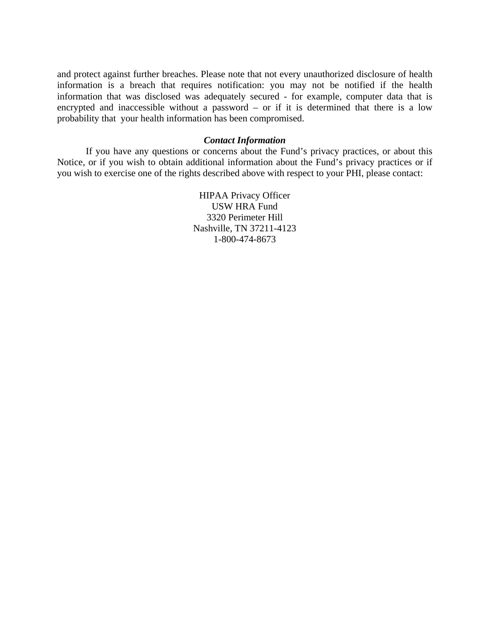and protect against further breaches. Please note that not every unauthorized disclosure of health information is a breach that requires notification: you may not be notified if the health information that was disclosed was adequately secured - for example, computer data that is encrypted and inaccessible without a password – or if it is determined that there is a low probability that your health information has been compromised.

### *Contact Information*

If you have any questions or concerns about the Fund's privacy practices, or about this Notice, or if you wish to obtain additional information about the Fund's privacy practices or if you wish to exercise one of the rights described above with respect to your PHI, please contact:

> HIPAA Privacy Officer USW HRA Fund 3320 Perimeter Hill Nashville, TN 37211-4123 1-800-474-8673